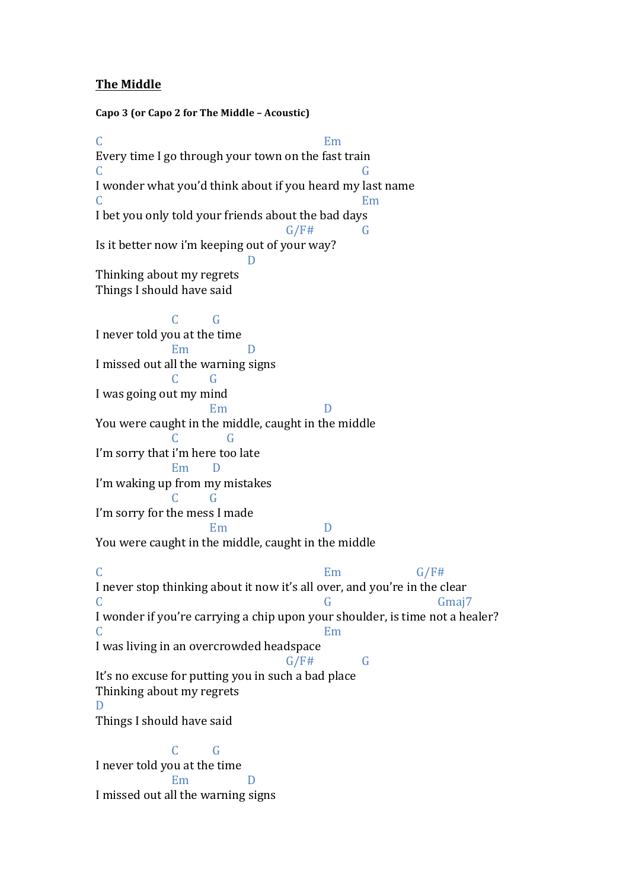## **The Middle**

**Capo 3 (or Capo 2 for The Middle – Acoustic)** C<sub>2</sub> Em Every time I go through your town on the fast train C<sub>G</sub> C<sub>G</sub> I wonder what you'd think about if you heard my last name C<sub>2</sub> Employees and the set of the set of the set of the set of the set of the set of the set of the set of the set of the set of the set of the set of the set of the set of the set of the set of the set of the set of the s I bet you only told your friends about the bad days  $G/F#$   $G$ Is it better now i'm keeping out of your way? D Thinking about my regrets Things I should have said C G I never told you at the time Em D I missed out all the warning signs  $C \qquad G$ I was going out my mind Em You were caught in the middle, caught in the middle C G I'm sorry that i'm here too late Em I'm waking up from my mistakes  $C = G$ I'm sorry for the mess I made **Em** You were caught in the middle, caught in the middle  $C$  Em  $G/F#$ I never stop thinking about it now it's all over, and you're in the clear C G Gmaj7 I wonder if you're carrying a chip upon your shoulder, is time not a healer? C<sub>2</sub> Em I was living in an overcrowded headspace  $G/F#$   $G$ It's no excuse for putting you in such a bad place Thinking about my regrets D Things I should have said C G I never told you at the time Em D

I missed out all the warning signs